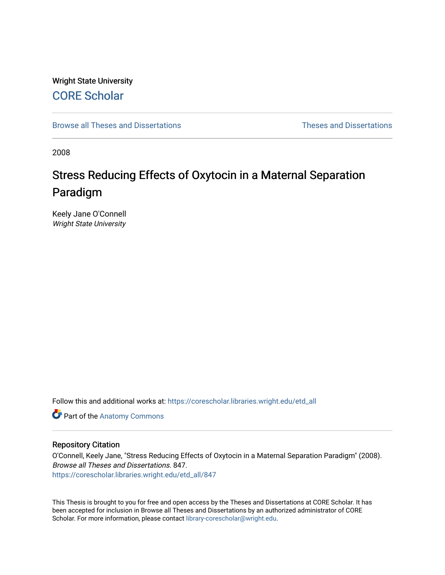# Wright State University [CORE Scholar](https://corescholar.libraries.wright.edu/)

[Browse all Theses and Dissertations](https://corescholar.libraries.wright.edu/etd_all) [Theses and Dissertations](https://corescholar.libraries.wright.edu/etd_comm) 

2008

# Stress Reducing Effects of Oxytocin in a Maternal Separation Paradigm

Keely Jane O'Connell Wright State University

Follow this and additional works at: [https://corescholar.libraries.wright.edu/etd\\_all](https://corescholar.libraries.wright.edu/etd_all?utm_source=corescholar.libraries.wright.edu%2Fetd_all%2F847&utm_medium=PDF&utm_campaign=PDFCoverPages) 

Part of the [Anatomy Commons](http://network.bepress.com/hgg/discipline/903?utm_source=corescholar.libraries.wright.edu%2Fetd_all%2F847&utm_medium=PDF&utm_campaign=PDFCoverPages) 

## Repository Citation

O'Connell, Keely Jane, "Stress Reducing Effects of Oxytocin in a Maternal Separation Paradigm" (2008). Browse all Theses and Dissertations. 847. [https://corescholar.libraries.wright.edu/etd\\_all/847](https://corescholar.libraries.wright.edu/etd_all/847?utm_source=corescholar.libraries.wright.edu%2Fetd_all%2F847&utm_medium=PDF&utm_campaign=PDFCoverPages) 

This Thesis is brought to you for free and open access by the Theses and Dissertations at CORE Scholar. It has been accepted for inclusion in Browse all Theses and Dissertations by an authorized administrator of CORE Scholar. For more information, please contact [library-corescholar@wright.edu](mailto:library-corescholar@wright.edu).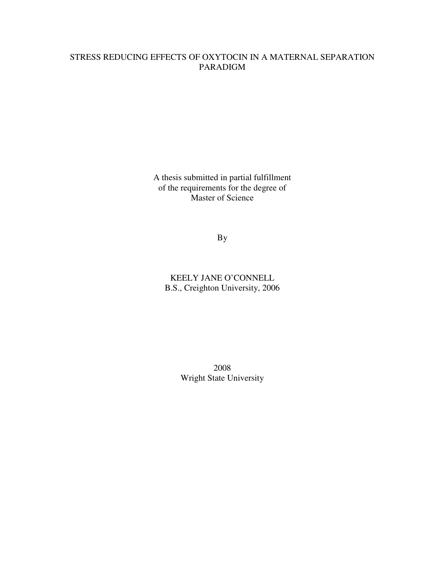# STRESS REDUCING EFFECTS OF OXYTOCIN IN A MATERNAL SEPARATION PARADIGM

A thesis submitted in partial fulfillment of the requirements for the degree of Master of Science

By

KEELY JANE O'CONNELL B.S., Creighton University, 2006

> 2008 Wright State University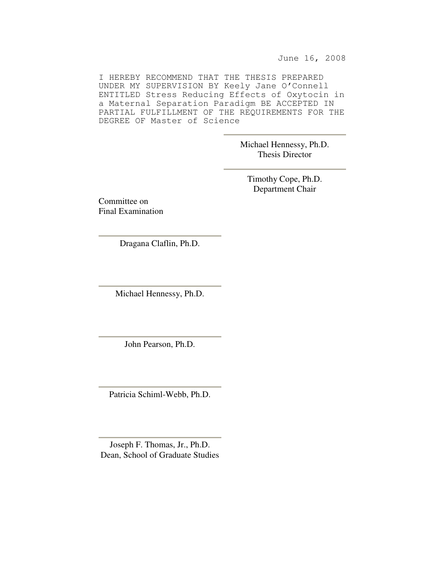June 16, 2008

I HEREBY RECOMMEND THAT THE THESIS PREPARED UNDER MY SUPERVISION BY Keely Jane O'Connell ENTITLED Stress Reducing Effects of Oxytocin in a Maternal Separation Paradigm BE ACCEPTED IN PARTIAL FULFILLMENT OF THE REQUIREMENTS FOR THE DEGREE OF Master of Science

> Michael Hennessy, Ph.D. Thesis Director

Timothy Cope, Ph.D. Department Chair

Committee on Final Examination

Dragana Claflin, Ph.D.

Michael Hennessy, Ph.D.

John Pearson, Ph.D.

Patricia Schiml-Webb, Ph.D.

Joseph F. Thomas, Jr., Ph.D. Dean, School of Graduate Studies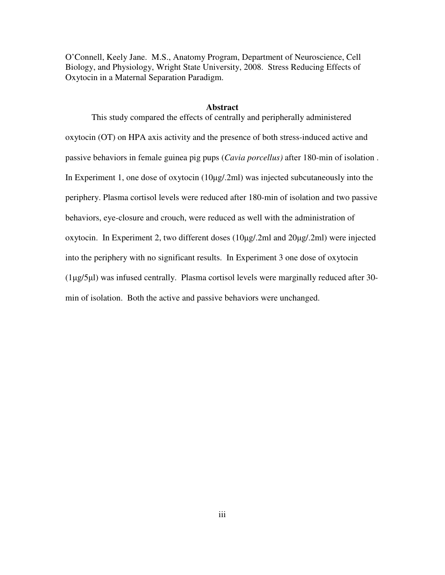O'Connell, Keely Jane. M.S., Anatomy Program, Department of Neuroscience, Cell Biology, and Physiology, Wright State University, 2008. Stress Reducing Effects of Oxytocin in a Maternal Separation Paradigm.

#### **Abstract**

This study compared the effects of centrally and peripherally administered oxytocin (OT) on HPA axis activity and the presence of both stress-induced active and passive behaviors in female guinea pig pups (*Cavia porcellus)* after 180-min of isolation . In Experiment 1, one dose of oxytocin (10µg/.2ml) was injected subcutaneously into the periphery. Plasma cortisol levels were reduced after 180-min of isolation and two passive behaviors, eye-closure and crouch, were reduced as well with the administration of oxytocin. In Experiment 2, two different doses (10µg/.2ml and 20µg/.2ml) were injected into the periphery with no significant results. In Experiment 3 one dose of oxytocin (1µg/5µl) was infused centrally. Plasma cortisol levels were marginally reduced after 30 min of isolation. Both the active and passive behaviors were unchanged.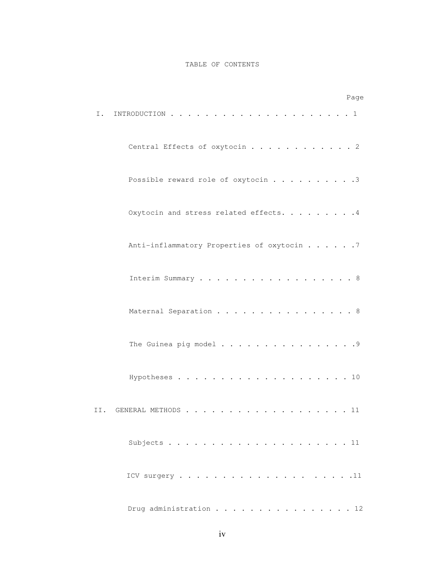#### TABLE OF CONTENTS

| Page                                       |  |
|--------------------------------------------|--|
| Ι.                                         |  |
| Central Effects of oxytocin 2              |  |
| Possible reward role of oxytocin 3         |  |
| Oxytocin and stress related effects. 4     |  |
| Anti-inflammatory Properties of oxytocin 7 |  |
| Interim Summary 8                          |  |
| Maternal Separation 8                      |  |
| The Guinea pig model 9                     |  |
|                                            |  |
| GENERAL METHODS 11<br>II.                  |  |
|                                            |  |
|                                            |  |
| Drug administration 12                     |  |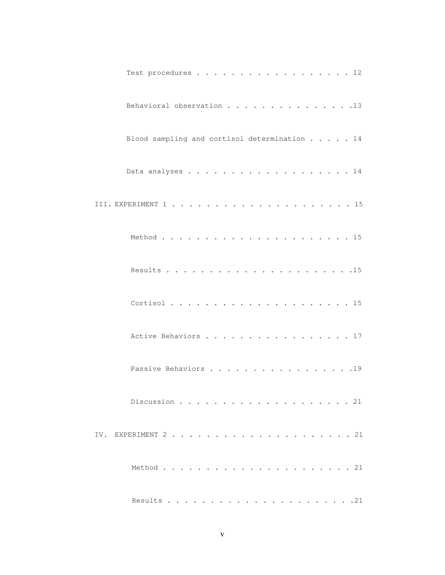| Test procedures 12                           |  |
|----------------------------------------------|--|
| Behavioral observation 13                    |  |
| Blood sampling and cortisol determination 14 |  |
|                                              |  |
|                                              |  |
|                                              |  |
|                                              |  |
|                                              |  |
| Active Behaviors 17                          |  |
| Passive Behaviors 19                         |  |
|                                              |  |
|                                              |  |
|                                              |  |
|                                              |  |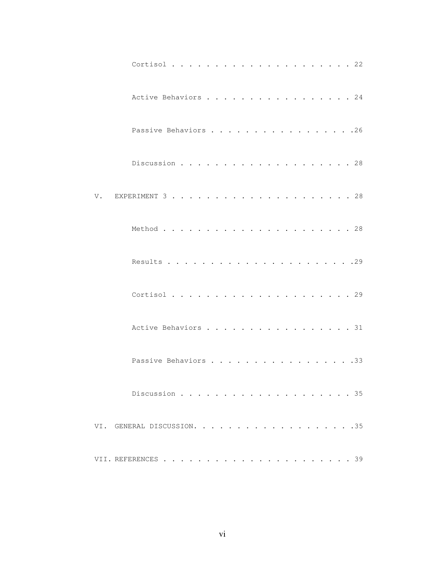|                            | Active Behaviors 24  |  |  |
|----------------------------|----------------------|--|--|
|                            | Passive Behaviors 26 |  |  |
|                            |                      |  |  |
| V.                         |                      |  |  |
|                            |                      |  |  |
|                            |                      |  |  |
|                            |                      |  |  |
|                            | Active Behaviors 31  |  |  |
|                            | Passive Behaviors 33 |  |  |
|                            | Discussion 35        |  |  |
| VI. GENERAL DISCUSSION. 35 |                      |  |  |
|                            |                      |  |  |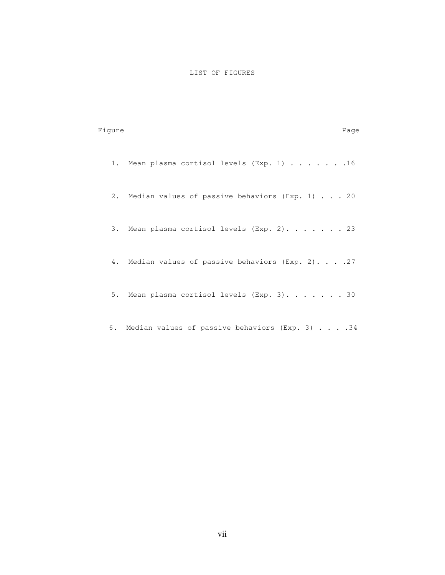### LIST OF FIGURES

| Fiqure |                                                    | Page |
|--------|----------------------------------------------------|------|
|        | 1. Mean plasma cortisol levels (Exp. 1) 16         |      |
|        | 2. Median values of passive behaviors (Exp. 1) 20  |      |
|        | 3. Mean plasma cortisol levels (Exp. 2). 23        |      |
|        | 4. Median values of passive behaviors (Exp. 2). 27 |      |
|        | 5. Mean plasma cortisol levels (Exp. 3). 30        |      |
|        | 6. Median values of passive behaviors (Exp. 3) 34  |      |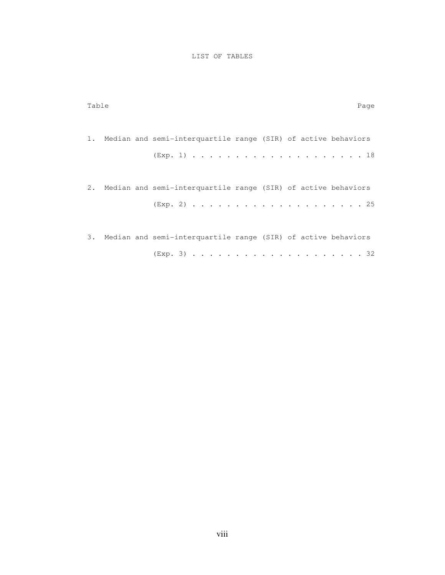## LIST OF TABLES

| Table |                                                                  | Page |
|-------|------------------------------------------------------------------|------|
|       | 1. Median and semi-interquartile range (SIR) of active behaviors |      |
|       | 2. Median and semi-interquartile range (SIR) of active behaviors |      |
|       | 3. Median and semi-interquartile range (SIR) of active behaviors |      |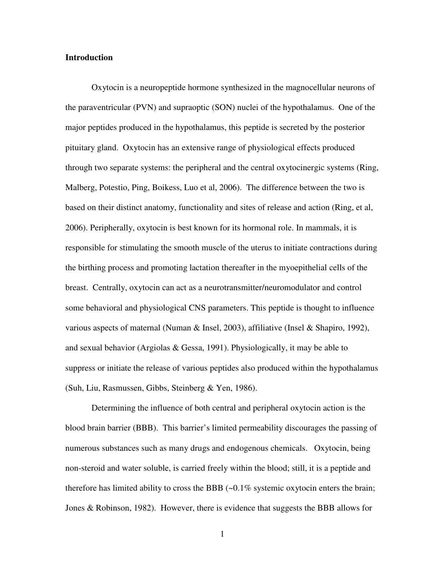#### **Introduction**

Oxytocin is a neuropeptide hormone synthesized in the magnocellular neurons of the paraventricular (PVN) and supraoptic (SON) nuclei of the hypothalamus. One of the major peptides produced in the hypothalamus, this peptide is secreted by the posterior pituitary gland. Oxytocin has an extensive range of physiological effects produced through two separate systems: the peripheral and the central oxytocinergic systems (Ring, Malberg, Potestio, Ping, Boikess, Luo et al, 2006). The difference between the two is based on their distinct anatomy, functionality and sites of release and action (Ring, et al, 2006). Peripherally, oxytocin is best known for its hormonal role. In mammals, it is responsible for stimulating the smooth muscle of the uterus to initiate contractions during the birthing process and promoting lactation thereafter in the myoepithelial cells of the breast. Centrally, oxytocin can act as a neurotransmitter/neuromodulator and control some behavioral and physiological CNS parameters. This peptide is thought to influence various aspects of maternal (Numan & Insel, 2003), affiliative (Insel & Shapiro, 1992), and sexual behavior (Argiolas & Gessa, 1991). Physiologically, it may be able to suppress or initiate the release of various peptides also produced within the hypothalamus (Suh, Liu, Rasmussen, Gibbs, Steinberg & Yen, 1986).

Determining the influence of both central and peripheral oxytocin action is the blood brain barrier (BBB). This barrier's limited permeability discourages the passing of numerous substances such as many drugs and endogenous chemicals. Oxytocin, being non-steroid and water soluble, is carried freely within the blood; still, it is a peptide and therefore has limited ability to cross the BBB  $(-0.1\%$  systemic oxytocin enters the brain; Jones & Robinson, 1982). However, there is evidence that suggests the BBB allows for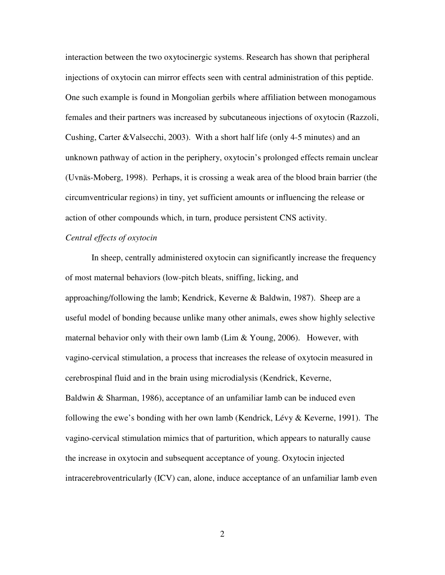interaction between the two oxytocinergic systems. Research has shown that peripheral injections of oxytocin can mirror effects seen with central administration of this peptide. One such example is found in Mongolian gerbils where affiliation between monogamous females and their partners was increased by subcutaneous injections of oxytocin (Razzoli, Cushing, Carter &Valsecchi, 2003). With a short half life (only 4-5 minutes) and an unknown pathway of action in the periphery, oxytocin's prolonged effects remain unclear (Uvnäs-Moberg, 1998). Perhaps, it is crossing a weak area of the blood brain barrier (the circumventricular regions) in tiny, yet sufficient amounts or influencing the release or action of other compounds which, in turn, produce persistent CNS activity.

# *Central effects of oxytocin*

In sheep, centrally administered oxytocin can significantly increase the frequency of most maternal behaviors (low-pitch bleats, sniffing, licking, and approaching/following the lamb; Kendrick, Keverne & Baldwin, 1987). Sheep are a useful model of bonding because unlike many other animals, ewes show highly selective maternal behavior only with their own lamb (Lim & Young, 2006). However, with vagino-cervical stimulation, a process that increases the release of oxytocin measured in cerebrospinal fluid and in the brain using microdialysis (Kendrick, Keverne, Baldwin & Sharman, 1986), acceptance of an unfamiliar lamb can be induced even following the ewe's bonding with her own lamb (Kendrick, Lévy & Keverne, 1991). The vagino-cervical stimulation mimics that of parturition, which appears to naturally cause the increase in oxytocin and subsequent acceptance of young. Oxytocin injected intracerebroventricularly (ICV) can, alone, induce acceptance of an unfamiliar lamb even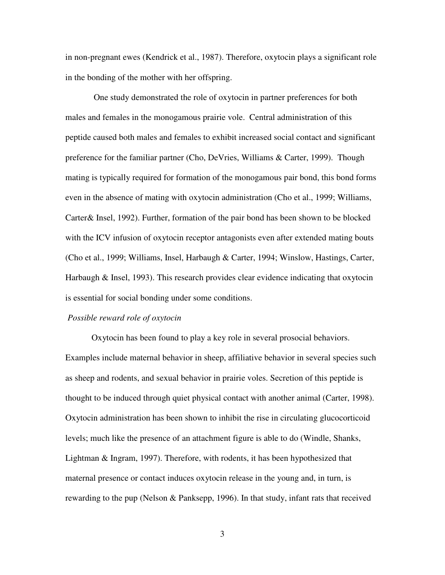in non-pregnant ewes (Kendrick et al., 1987). Therefore, oxytocin plays a significant role in the bonding of the mother with her offspring.

 One study demonstrated the role of oxytocin in partner preferences for both males and females in the monogamous prairie vole. Central administration of this peptide caused both males and females to exhibit increased social contact and significant preference for the familiar partner (Cho, DeVries, Williams & Carter, 1999). Though mating is typically required for formation of the monogamous pair bond, this bond forms even in the absence of mating with oxytocin administration (Cho et al., 1999; Williams, Carter& Insel, 1992). Further, formation of the pair bond has been shown to be blocked with the ICV infusion of oxytocin receptor antagonists even after extended mating bouts (Cho et al., 1999; Williams, Insel, Harbaugh & Carter, 1994; Winslow, Hastings, Carter, Harbaugh & Insel, 1993). This research provides clear evidence indicating that oxytocin is essential for social bonding under some conditions.

#### *Possible reward role of oxytocin*

Oxytocin has been found to play a key role in several prosocial behaviors. Examples include maternal behavior in sheep, affiliative behavior in several species such as sheep and rodents, and sexual behavior in prairie voles. Secretion of this peptide is thought to be induced through quiet physical contact with another animal (Carter, 1998). Oxytocin administration has been shown to inhibit the rise in circulating glucocorticoid levels; much like the presence of an attachment figure is able to do (Windle, Shanks, Lightman & Ingram, 1997). Therefore, with rodents, it has been hypothesized that maternal presence or contact induces oxytocin release in the young and, in turn, is rewarding to the pup (Nelson & Panksepp, 1996). In that study, infant rats that received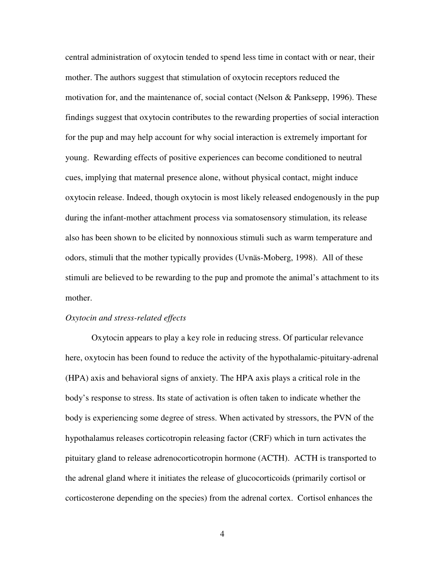central administration of oxytocin tended to spend less time in contact with or near, their mother. The authors suggest that stimulation of oxytocin receptors reduced the motivation for, and the maintenance of, social contact (Nelson & Panksepp, 1996). These findings suggest that oxytocin contributes to the rewarding properties of social interaction for the pup and may help account for why social interaction is extremely important for young. Rewarding effects of positive experiences can become conditioned to neutral cues, implying that maternal presence alone, without physical contact, might induce oxytocin release. Indeed, though oxytocin is most likely released endogenously in the pup during the infant-mother attachment process via somatosensory stimulation, its release also has been shown to be elicited by nonnoxious stimuli such as warm temperature and odors, stimuli that the mother typically provides (Uvnäs-Moberg, 1998). All of these stimuli are believed to be rewarding to the pup and promote the animal's attachment to its mother.

#### *Oxytocin and stress-related effects*

Oxytocin appears to play a key role in reducing stress. Of particular relevance here, oxytocin has been found to reduce the activity of the hypothalamic-pituitary-adrenal (HPA) axis and behavioral signs of anxiety. The HPA axis plays a critical role in the body's response to stress. Its state of activation is often taken to indicate whether the body is experiencing some degree of stress. When activated by stressors, the PVN of the hypothalamus releases corticotropin releasing factor (CRF) which in turn activates the pituitary gland to release adrenocorticotropin hormone (ACTH). ACTH is transported to the adrenal gland where it initiates the release of glucocorticoids (primarily cortisol or corticosterone depending on the species) from the adrenal cortex. Cortisol enhances the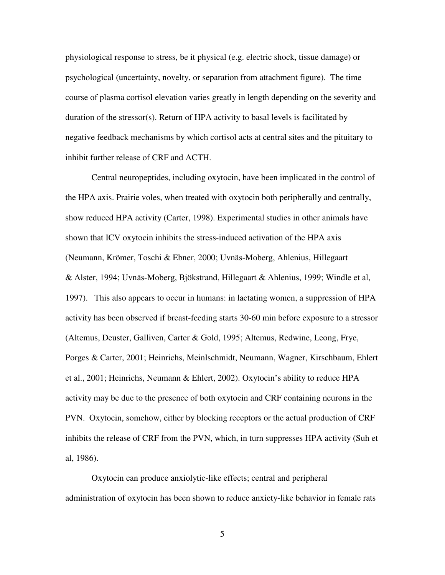physiological response to stress, be it physical (e.g. electric shock, tissue damage) or psychological (uncertainty, novelty, or separation from attachment figure). The time course of plasma cortisol elevation varies greatly in length depending on the severity and duration of the stressor(s). Return of HPA activity to basal levels is facilitated by negative feedback mechanisms by which cortisol acts at central sites and the pituitary to inhibit further release of CRF and ACTH.

Central neuropeptides, including oxytocin, have been implicated in the control of the HPA axis. Prairie voles, when treated with oxytocin both peripherally and centrally, show reduced HPA activity (Carter, 1998). Experimental studies in other animals have shown that ICV oxytocin inhibits the stress-induced activation of the HPA axis (Neumann, Krömer, Toschi & Ebner, 2000; Uvnäs-Moberg, Ahlenius, Hillegaart & Alster, 1994; Uvnäs-Moberg, Bjökstrand, Hillegaart & Ahlenius, 1999; Windle et al, 1997). This also appears to occur in humans: in lactating women, a suppression of HPA activity has been observed if breast-feeding starts 30-60 min before exposure to a stressor (Altemus, Deuster, Galliven, Carter & Gold, 1995; Altemus, Redwine, Leong, Frye, Porges & Carter, 2001; Heinrichs, Meinlschmidt, Neumann, Wagner, Kirschbaum, Ehlert et al., 2001; Heinrichs, Neumann & Ehlert, 2002). Oxytocin's ability to reduce HPA activity may be due to the presence of both oxytocin and CRF containing neurons in the PVN. Oxytocin, somehow, either by blocking receptors or the actual production of CRF inhibits the release of CRF from the PVN, which, in turn suppresses HPA activity (Suh et al, 1986).

Oxytocin can produce anxiolytic-like effects; central and peripheral administration of oxytocin has been shown to reduce anxiety-like behavior in female rats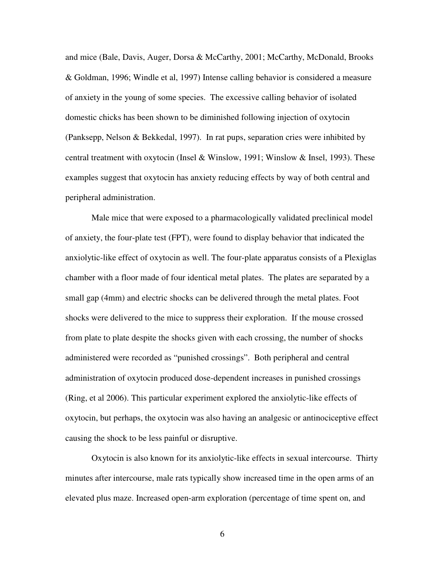and mice (Bale, Davis, Auger, Dorsa & McCarthy, 2001; McCarthy, McDonald, Brooks & Goldman, 1996; Windle et al, 1997) Intense calling behavior is considered a measure of anxiety in the young of some species. The excessive calling behavior of isolated domestic chicks has been shown to be diminished following injection of oxytocin (Panksepp, Nelson & Bekkedal, 1997). In rat pups, separation cries were inhibited by central treatment with oxytocin (Insel & Winslow, 1991; Winslow & Insel, 1993). These examples suggest that oxytocin has anxiety reducing effects by way of both central and peripheral administration.

Male mice that were exposed to a pharmacologically validated preclinical model of anxiety, the four-plate test (FPT), were found to display behavior that indicated the anxiolytic-like effect of oxytocin as well. The four-plate apparatus consists of a Plexiglas chamber with a floor made of four identical metal plates. The plates are separated by a small gap (4mm) and electric shocks can be delivered through the metal plates. Foot shocks were delivered to the mice to suppress their exploration. If the mouse crossed from plate to plate despite the shocks given with each crossing, the number of shocks administered were recorded as "punished crossings". Both peripheral and central administration of oxytocin produced dose-dependent increases in punished crossings (Ring, et al 2006). This particular experiment explored the anxiolytic-like effects of oxytocin, but perhaps, the oxytocin was also having an analgesic or antinociceptive effect causing the shock to be less painful or disruptive.

Oxytocin is also known for its anxiolytic-like effects in sexual intercourse. Thirty minutes after intercourse, male rats typically show increased time in the open arms of an elevated plus maze. Increased open-arm exploration (percentage of time spent on, and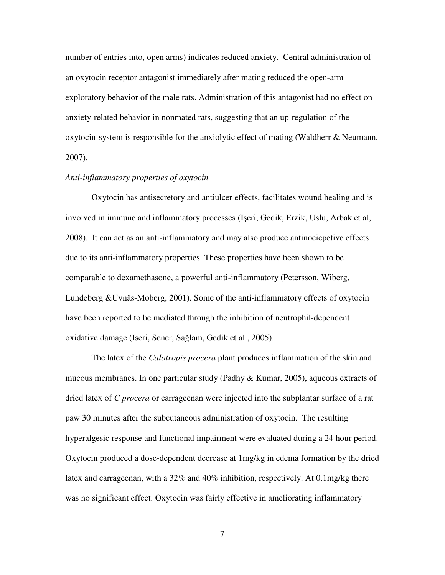number of entries into, open arms) indicates reduced anxiety. Central administration of an oxytocin receptor antagonist immediately after mating reduced the open-arm exploratory behavior of the male rats. Administration of this antagonist had no effect on anxiety-related behavior in nonmated rats, suggesting that an up-regulation of the oxytocin-system is responsible for the anxiolytic effect of mating (Waldherr  $\&$  Neumann, 2007).

## *Anti-inflammatory properties of oxytocin*

Oxytocin has antisecretory and antiulcer effects, facilitates wound healing and is involved in immune and inflammatory processes (Işeri, Gedik, Erzik, Uslu, Arbak et al, 2008). It can act as an anti-inflammatory and may also produce antinocicpetive effects due to its anti-inflammatory properties. These properties have been shown to be comparable to dexamethasone, a powerful anti-inflammatory (Petersson, Wiberg, Lundeberg &Uvnäs-Moberg, 2001). Some of the anti-inflammatory effects of oxytocin have been reported to be mediated through the inhibition of neutrophil-dependent oxidative damage (Işeri, Sener, Sağlam, Gedik et al., 2005).

The latex of the *Calotropis procera* plant produces inflammation of the skin and mucous membranes. In one particular study (Padhy  $\&$  Kumar, 2005), aqueous extracts of dried latex of *C procera* or carrageenan were injected into the subplantar surface of a rat paw 30 minutes after the subcutaneous administration of oxytocin. The resulting hyperalgesic response and functional impairment were evaluated during a 24 hour period. Oxytocin produced a dose-dependent decrease at 1mg/kg in edema formation by the dried latex and carrageenan, with a 32% and 40% inhibition, respectively. At 0.1mg/kg there was no significant effect. Oxytocin was fairly effective in ameliorating inflammatory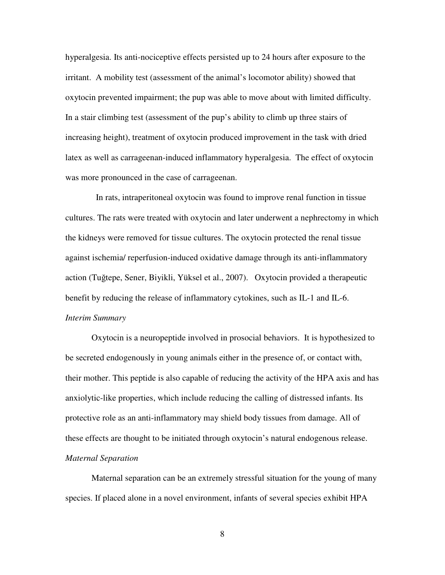hyperalgesia. Its anti-nociceptive effects persisted up to 24 hours after exposure to the irritant. A mobility test (assessment of the animal's locomotor ability) showed that oxytocin prevented impairment; the pup was able to move about with limited difficulty. In a stair climbing test (assessment of the pup's ability to climb up three stairs of increasing height), treatment of oxytocin produced improvement in the task with dried latex as well as carrageenan-induced inflammatory hyperalgesia. The effect of oxytocin was more pronounced in the case of carrageenan.

 In rats, intraperitoneal oxytocin was found to improve renal function in tissue cultures. The rats were treated with oxytocin and later underwent a nephrectomy in which the kidneys were removed for tissue cultures. The oxytocin protected the renal tissue against ischemia/ reperfusion-induced oxidative damage through its anti-inflammatory action (Tuğtepe, Sener, Biyikli, Yüksel et al., 2007). Oxytocin provided a therapeutic benefit by reducing the release of inflammatory cytokines, such as IL-1 and IL-6. *Interim Summary* 

Oxytocin is a neuropeptide involved in prosocial behaviors. It is hypothesized to be secreted endogenously in young animals either in the presence of, or contact with, their mother. This peptide is also capable of reducing the activity of the HPA axis and has anxiolytic-like properties, which include reducing the calling of distressed infants. Its protective role as an anti-inflammatory may shield body tissues from damage. All of these effects are thought to be initiated through oxytocin's natural endogenous release. *Maternal Separation* 

Maternal separation can be an extremely stressful situation for the young of many species. If placed alone in a novel environment, infants of several species exhibit HPA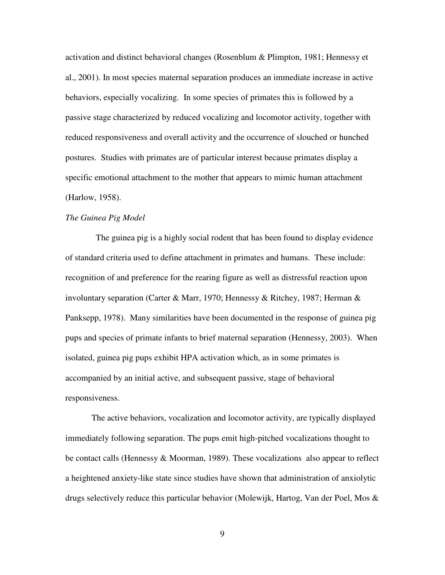activation and distinct behavioral changes (Rosenblum & Plimpton, 1981; Hennessy et al., 2001). In most species maternal separation produces an immediate increase in active behaviors, especially vocalizing. In some species of primates this is followed by a passive stage characterized by reduced vocalizing and locomotor activity, together with reduced responsiveness and overall activity and the occurrence of slouched or hunched postures. Studies with primates are of particular interest because primates display a specific emotional attachment to the mother that appears to mimic human attachment (Harlow, 1958).

## *The Guinea Pig Model*

 The guinea pig is a highly social rodent that has been found to display evidence of standard criteria used to define attachment in primates and humans. These include: recognition of and preference for the rearing figure as well as distressful reaction upon involuntary separation (Carter & Marr, 1970; Hennessy & Ritchey, 1987; Herman & Panksepp, 1978). Many similarities have been documented in the response of guinea pig pups and species of primate infants to brief maternal separation (Hennessy, 2003). When isolated, guinea pig pups exhibit HPA activation which, as in some primates is accompanied by an initial active, and subsequent passive, stage of behavioral responsiveness.

The active behaviors, vocalization and locomotor activity, are typically displayed immediately following separation. The pups emit high-pitched vocalizations thought to be contact calls (Hennessy & Moorman, 1989). These vocalizations also appear to reflect a heightened anxiety-like state since studies have shown that administration of anxiolytic drugs selectively reduce this particular behavior (Molewijk, Hartog, Van der Poel, Mos  $\&$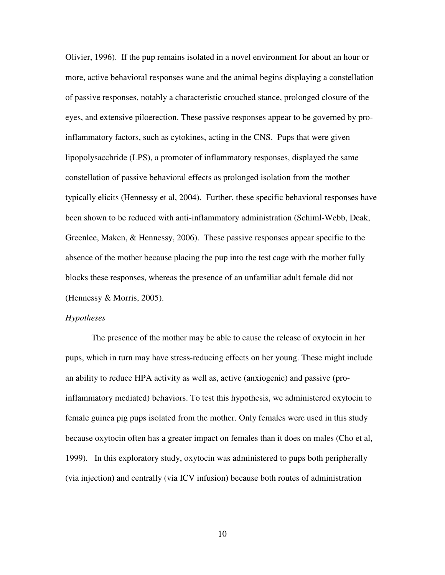Olivier, 1996). If the pup remains isolated in a novel environment for about an hour or more, active behavioral responses wane and the animal begins displaying a constellation of passive responses, notably a characteristic crouched stance, prolonged closure of the eyes, and extensive piloerection. These passive responses appear to be governed by proinflammatory factors, such as cytokines, acting in the CNS. Pups that were given lipopolysacchride (LPS), a promoter of inflammatory responses, displayed the same constellation of passive behavioral effects as prolonged isolation from the mother typically elicits (Hennessy et al, 2004). Further, these specific behavioral responses have been shown to be reduced with anti-inflammatory administration (Schiml-Webb, Deak, Greenlee, Maken, & Hennessy, 2006). These passive responses appear specific to the absence of the mother because placing the pup into the test cage with the mother fully blocks these responses, whereas the presence of an unfamiliar adult female did not (Hennessy & Morris, 2005).

#### *Hypotheses*

The presence of the mother may be able to cause the release of oxytocin in her pups, which in turn may have stress-reducing effects on her young. These might include an ability to reduce HPA activity as well as, active (anxiogenic) and passive (proinflammatory mediated) behaviors. To test this hypothesis, we administered oxytocin to female guinea pig pups isolated from the mother. Only females were used in this study because oxytocin often has a greater impact on females than it does on males (Cho et al, 1999). In this exploratory study, oxytocin was administered to pups both peripherally (via injection) and centrally (via ICV infusion) because both routes of administration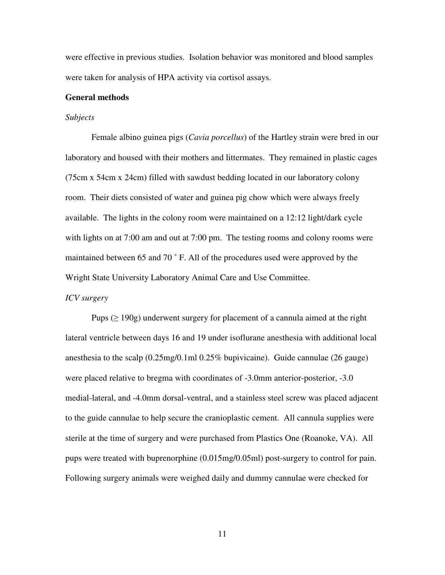were effective in previous studies. Isolation behavior was monitored and blood samples were taken for analysis of HPA activity via cortisol assays.

#### **General methods**

#### *Subjects*

 Female albino guinea pigs (*Cavia porcellus*) of the Hartley strain were bred in our laboratory and housed with their mothers and littermates. They remained in plastic cages (75cm x 54cm x 24cm) filled with sawdust bedding located in our laboratory colony room. Their diets consisted of water and guinea pig chow which were always freely available. The lights in the colony room were maintained on a 12:12 light/dark cycle with lights on at 7:00 am and out at 7:00 pm. The testing rooms and colony rooms were maintained between 65 and 70 ˚ F. All of the procedures used were approved by the Wright State University Laboratory Animal Care and Use Committee.

#### *ICV surgery*

Pups ( $\geq$  190g) underwent surgery for placement of a cannula aimed at the right lateral ventricle between days 16 and 19 under isoflurane anesthesia with additional local anesthesia to the scalp (0.25mg/0.1ml 0.25% bupivicaine). Guide cannulae (26 gauge) were placed relative to bregma with coordinates of -3.0mm anterior-posterior, -3.0 medial-lateral, and -4.0mm dorsal-ventral, and a stainless steel screw was placed adjacent to the guide cannulae to help secure the cranioplastic cement. All cannula supplies were sterile at the time of surgery and were purchased from Plastics One (Roanoke, VA). All pups were treated with buprenorphine (0.015mg/0.05ml) post-surgery to control for pain. Following surgery animals were weighed daily and dummy cannulae were checked for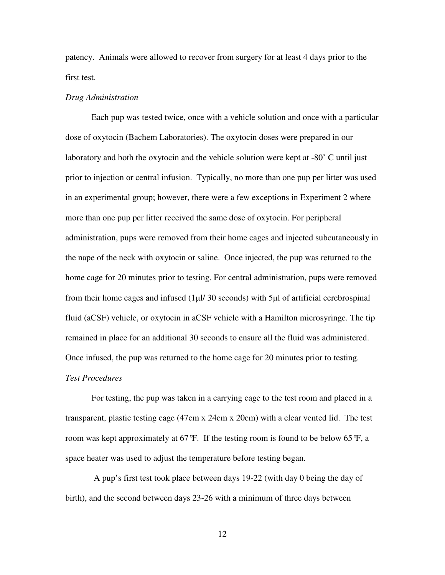patency. Animals were allowed to recover from surgery for at least 4 days prior to the first test.

#### *Drug Administration*

 Each pup was tested twice, once with a vehicle solution and once with a particular dose of oxytocin (Bachem Laboratories). The oxytocin doses were prepared in our laboratory and both the oxytocin and the vehicle solution were kept at -80° C until just prior to injection or central infusion. Typically, no more than one pup per litter was used in an experimental group; however, there were a few exceptions in Experiment 2 where more than one pup per litter received the same dose of oxytocin. For peripheral administration, pups were removed from their home cages and injected subcutaneously in the nape of the neck with oxytocin or saline. Once injected, the pup was returned to the home cage for 20 minutes prior to testing. For central administration, pups were removed from their home cages and infused (1µl/ 30 seconds) with 5µl of artificial cerebrospinal fluid (aCSF) vehicle, or oxytocin in aCSF vehicle with a Hamilton microsyringe. The tip remained in place for an additional 30 seconds to ensure all the fluid was administered. Once infused, the pup was returned to the home cage for 20 minutes prior to testing. *Test Procedures* 

For testing, the pup was taken in a carrying cage to the test room and placed in a transparent, plastic testing cage (47cm x 24cm x 20cm) with a clear vented lid. The test room was kept approximately at 67°F. If the testing room is found to be below 65°F, a space heater was used to adjust the temperature before testing began.

 A pup's first test took place between days 19-22 (with day 0 being the day of birth), and the second between days 23-26 with a minimum of three days between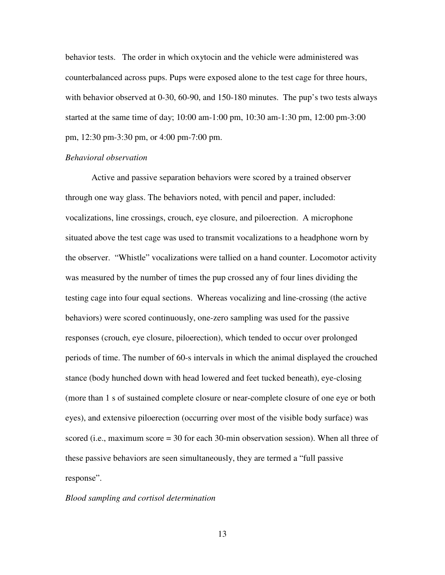behavior tests. The order in which oxytocin and the vehicle were administered was counterbalanced across pups. Pups were exposed alone to the test cage for three hours, with behavior observed at 0-30, 60-90, and 150-180 minutes. The pup's two tests always started at the same time of day; 10:00 am-1:00 pm, 10:30 am-1:30 pm, 12:00 pm-3:00 pm, 12:30 pm-3:30 pm, or 4:00 pm-7:00 pm.

#### *Behavioral observation*

Active and passive separation behaviors were scored by a trained observer through one way glass. The behaviors noted, with pencil and paper, included: vocalizations, line crossings, crouch, eye closure, and piloerection. A microphone situated above the test cage was used to transmit vocalizations to a headphone worn by the observer. "Whistle" vocalizations were tallied on a hand counter. Locomotor activity was measured by the number of times the pup crossed any of four lines dividing the testing cage into four equal sections. Whereas vocalizing and line-crossing (the active behaviors) were scored continuously, one-zero sampling was used for the passive responses (crouch, eye closure, piloerection), which tended to occur over prolonged periods of time. The number of 60-s intervals in which the animal displayed the crouched stance (body hunched down with head lowered and feet tucked beneath), eye-closing (more than 1 s of sustained complete closure or near-complete closure of one eye or both eyes), and extensive piloerection (occurring over most of the visible body surface) was scored (i.e., maximum score = 30 for each 30-min observation session). When all three of these passive behaviors are seen simultaneously, they are termed a "full passive response".

#### *Blood sampling and cortisol determination*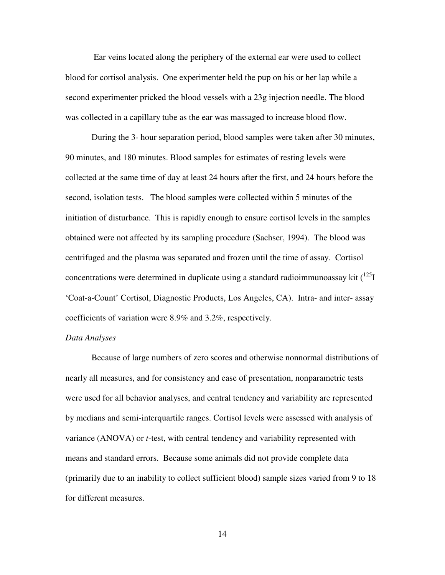Ear veins located along the periphery of the external ear were used to collect blood for cortisol analysis. One experimenter held the pup on his or her lap while a second experimenter pricked the blood vessels with a 23g injection needle. The blood was collected in a capillary tube as the ear was massaged to increase blood flow.

During the 3- hour separation period, blood samples were taken after 30 minutes, 90 minutes, and 180 minutes. Blood samples for estimates of resting levels were collected at the same time of day at least 24 hours after the first, and 24 hours before the second, isolation tests. The blood samples were collected within 5 minutes of the initiation of disturbance. This is rapidly enough to ensure cortisol levels in the samples obtained were not affected by its sampling procedure (Sachser, 1994). The blood was centrifuged and the plasma was separated and frozen until the time of assay. Cortisol concentrations were determined in duplicate using a standard radioimmunoassay kit  $(^{125}I)$ 'Coat-a-Count' Cortisol, Diagnostic Products, Los Angeles, CA). Intra- and inter- assay coefficients of variation were 8.9% and 3.2%, respectively.

## *Data Analyses*

Because of large numbers of zero scores and otherwise nonnormal distributions of nearly all measures, and for consistency and ease of presentation, nonparametric tests were used for all behavior analyses, and central tendency and variability are represented by medians and semi-interquartile ranges. Cortisol levels were assessed with analysis of variance (ANOVA) or *t*-test, with central tendency and variability represented with means and standard errors. Because some animals did not provide complete data (primarily due to an inability to collect sufficient blood) sample sizes varied from 9 to 18 for different measures.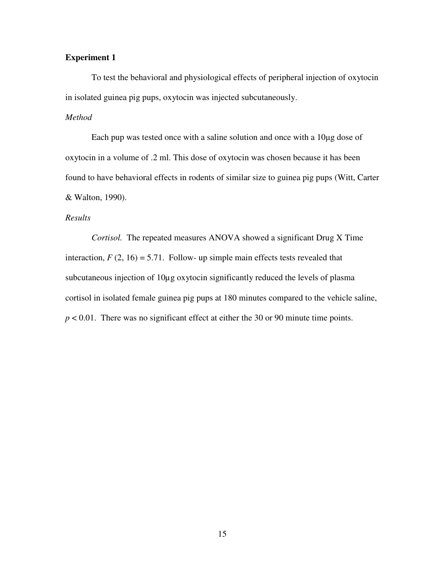# **Experiment 1**

To test the behavioral and physiological effects of peripheral injection of oxytocin in isolated guinea pig pups, oxytocin was injected subcutaneously.

# *Method*

Each pup was tested once with a saline solution and once with a 10µg dose of oxytocin in a volume of .2 ml. This dose of oxytocin was chosen because it has been found to have behavioral effects in rodents of similar size to guinea pig pups (Witt, Carter & Walton, 1990).

# *Results*

*Cortisol.* The repeated measures ANOVA showed a significant Drug X Time interaction,  $F(2, 16) = 5.71$ . Follow- up simple main effects tests revealed that subcutaneous injection of 10µg oxytocin significantly reduced the levels of plasma cortisol in isolated female guinea pig pups at 180 minutes compared to the vehicle saline, *p* < 0.01. There was no significant effect at either the 30 or 90 minute time points.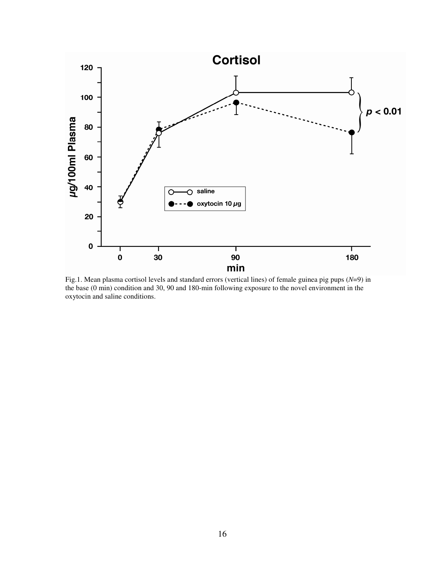

Fig.1. Mean plasma cortisol levels and standard errors (vertical lines) of female guinea pig pups (*N*=9) in the base (0 min) condition and 30, 90 and 180-min following exposure to the novel environment in the oxytocin and saline conditions.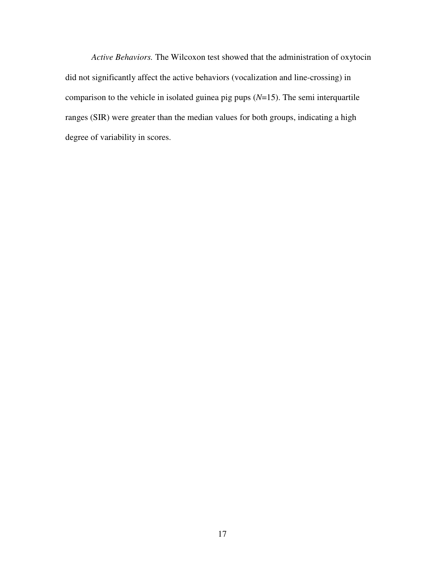*Active Behaviors.* The Wilcoxon test showed that the administration of oxytocin did not significantly affect the active behaviors (vocalization and line-crossing) in comparison to the vehicle in isolated guinea pig pups (*N*=15). The semi interquartile ranges (SIR) were greater than the median values for both groups, indicating a high degree of variability in scores.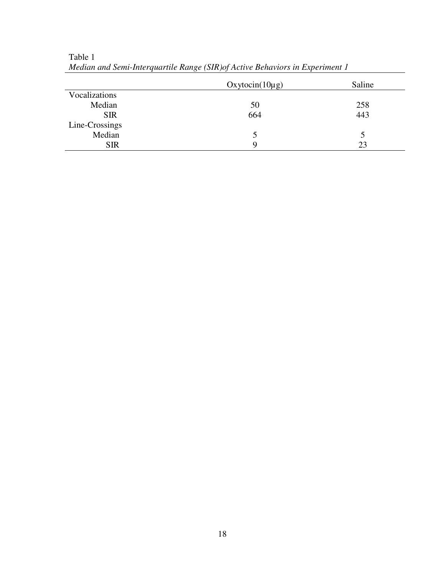| Saline        |
|---------------|
|               |
| 258           |
| 443           |
|               |
| $\mathcal{D}$ |
| 23            |
|               |

Table 1 *Median and Semi-Interquartile Range (SIR)of Active Behaviors in Experiment 1*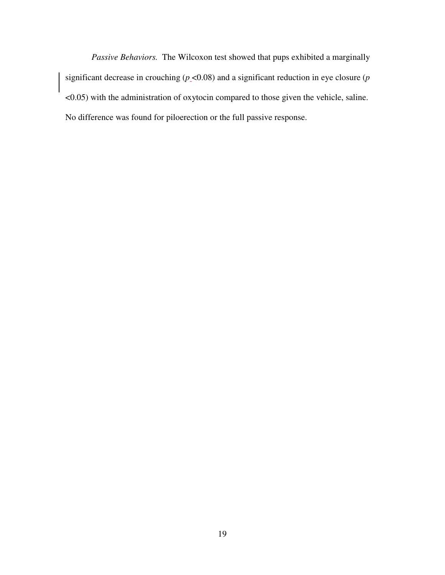*Passive Behaviors.* The Wilcoxon test showed that pups exhibited a marginally significant decrease in crouching ( $p$  <0.08) and a significant reduction in eye closure ( $p$ <0.05) with the administration of oxytocin compared to those given the vehicle, saline. No difference was found for piloerection or the full passive response.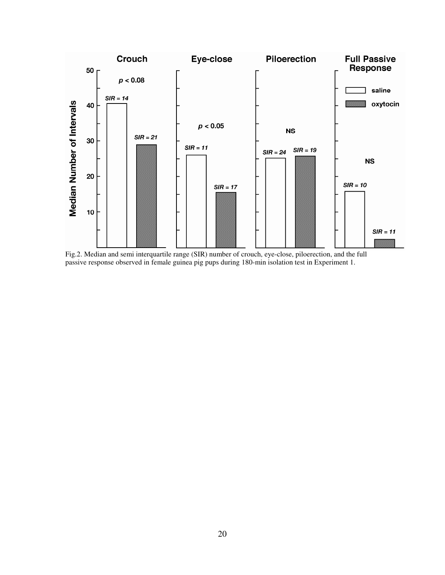

Fig.2. Median and semi interquartile range (SIR) number of crouch, eye-close, piloerection, and the full passive response observed in female guinea pig pups during 180-min isolation test in Experiment 1.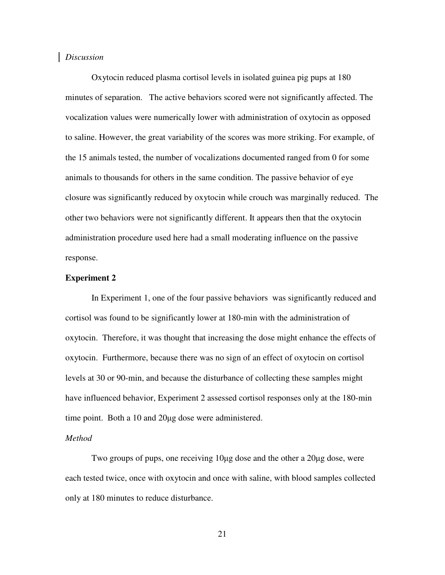#### *Discussion*

Oxytocin reduced plasma cortisol levels in isolated guinea pig pups at 180 minutes of separation. The active behaviors scored were not significantly affected. The vocalization values were numerically lower with administration of oxytocin as opposed to saline. However, the great variability of the scores was more striking. For example, of the 15 animals tested, the number of vocalizations documented ranged from 0 for some animals to thousands for others in the same condition. The passive behavior of eye closure was significantly reduced by oxytocin while crouch was marginally reduced. The other two behaviors were not significantly different. It appears then that the oxytocin administration procedure used here had a small moderating influence on the passive response.

#### **Experiment 2**

In Experiment 1, one of the four passive behaviors was significantly reduced and cortisol was found to be significantly lower at 180-min with the administration of oxytocin. Therefore, it was thought that increasing the dose might enhance the effects of oxytocin. Furthermore, because there was no sign of an effect of oxytocin on cortisol levels at 30 or 90-min, and because the disturbance of collecting these samples might have influenced behavior, Experiment 2 assessed cortisol responses only at the 180-min time point. Both a 10 and 20µg dose were administered.

#### *Method*

Two groups of pups, one receiving 10µg dose and the other a 20µg dose, were each tested twice, once with oxytocin and once with saline, with blood samples collected only at 180 minutes to reduce disturbance.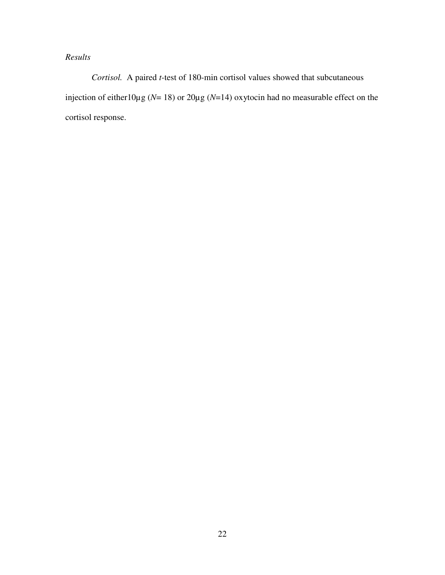# *Results*

 *Cortisol.* A paired *t*-test of 180-min cortisol values showed that subcutaneous injection of either10µg (*N*= 18) or 20µg (*N*=14) oxytocin had no measurable effect on the cortisol response.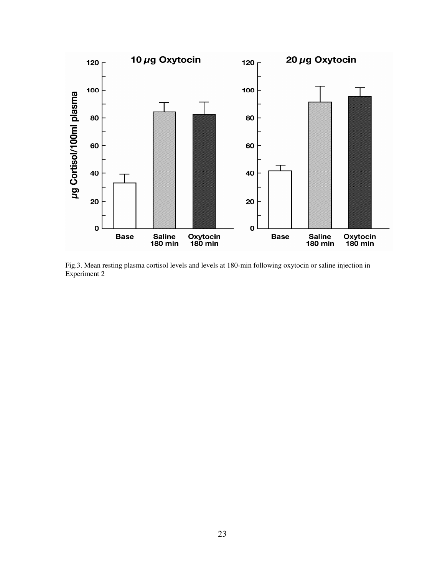

Fig.3. Mean resting plasma cortisol levels and levels at 180-min following oxytocin or saline injection in Experiment 2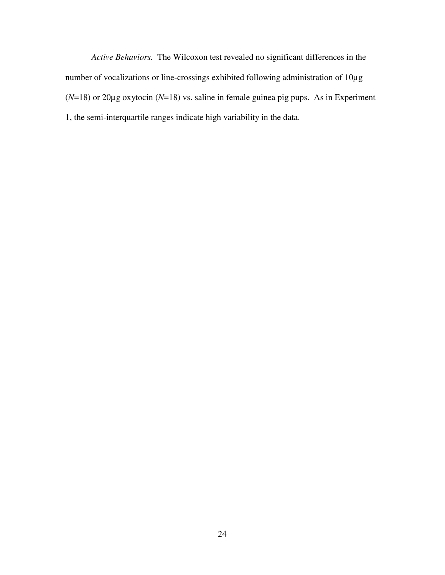*Active Behaviors.* The Wilcoxon test revealed no significant differences in the number of vocalizations or line-crossings exhibited following administration of 10µg (*N*=18) or 20µg oxytocin (*N*=18) vs. saline in female guinea pig pups. As in Experiment 1, the semi-interquartile ranges indicate high variability in the data.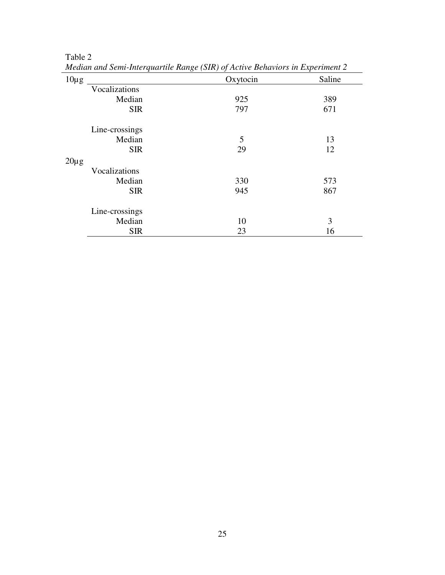|           | meanan ana senn-mierquarine Kange (sm) of neuve benaviors in Experiment 2 |          |        |  |
|-----------|---------------------------------------------------------------------------|----------|--------|--|
| $10\mu$ g |                                                                           | Oxytocin | Saline |  |
|           | Vocalizations                                                             |          |        |  |
|           | Median                                                                    | 925      | 389    |  |
|           | <b>SIR</b>                                                                | 797      | 671    |  |
|           | Line-crossings                                                            |          |        |  |
|           | Median                                                                    | 5        | 13     |  |
|           | <b>SIR</b>                                                                | 29       | 12     |  |
| $20\mu$ g |                                                                           |          |        |  |
|           | Vocalizations                                                             |          |        |  |
|           | Median                                                                    | 330      | 573    |  |
|           | <b>SIR</b>                                                                | 945      | 867    |  |
|           | Line-crossings                                                            |          |        |  |
|           | Median                                                                    | 10       | 3      |  |
|           | <b>SIR</b>                                                                | 23       | 16     |  |

Table 2

*Median and Semi-Interquartile Range (SIR) of Active Behaviors in Experiment 2*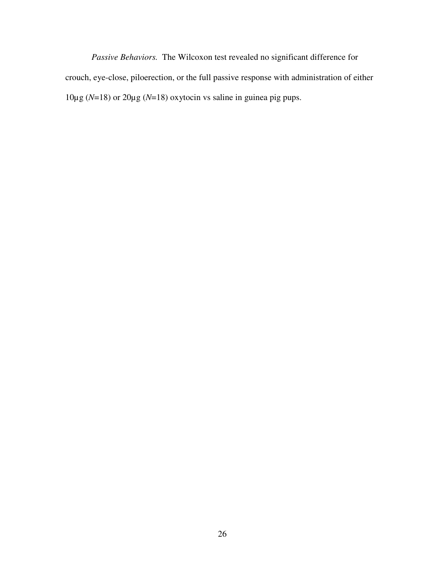*Passive Behaviors.* The Wilcoxon test revealed no significant difference for crouch, eye-close, piloerection, or the full passive response with administration of either 10µg (*N*=18) or 20µg (*N*=18) oxytocin vs saline in guinea pig pups.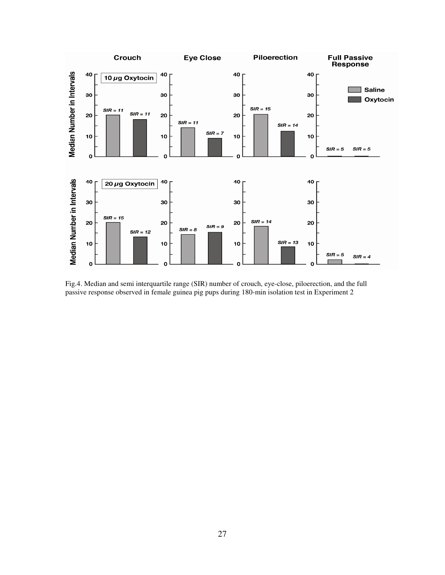

Fig.4. Median and semi interquartile range (SIR) number of crouch, eye-close, piloerection, and the full passive response observed in female guinea pig pups during 180-min isolation test in Experiment 2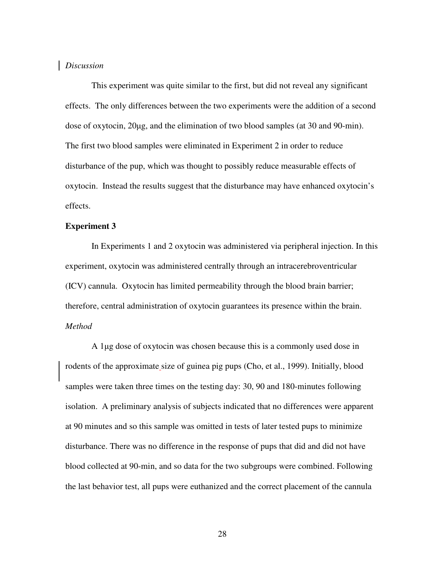#### *Discussion*

This experiment was quite similar to the first, but did not reveal any significant effects. The only differences between the two experiments were the addition of a second dose of oxytocin, 20µg, and the elimination of two blood samples (at 30 and 90-min). The first two blood samples were eliminated in Experiment 2 in order to reduce disturbance of the pup, which was thought to possibly reduce measurable effects of oxytocin. Instead the results suggest that the disturbance may have enhanced oxytocin's effects.

#### **Experiment 3**

In Experiments 1 and 2 oxytocin was administered via peripheral injection. In this experiment, oxytocin was administered centrally through an intracerebroventricular (ICV) cannula. Oxytocin has limited permeability through the blood brain barrier; therefore, central administration of oxytocin guarantees its presence within the brain. *Method*

A 1µg dose of oxytocin was chosen because this is a commonly used dose in rodents of the approximate size of guinea pig pups (Cho, et al., 1999). Initially, blood samples were taken three times on the testing day: 30, 90 and 180-minutes following isolation. A preliminary analysis of subjects indicated that no differences were apparent at 90 minutes and so this sample was omitted in tests of later tested pups to minimize disturbance. There was no difference in the response of pups that did and did not have blood collected at 90-min, and so data for the two subgroups were combined. Following the last behavior test, all pups were euthanized and the correct placement of the cannula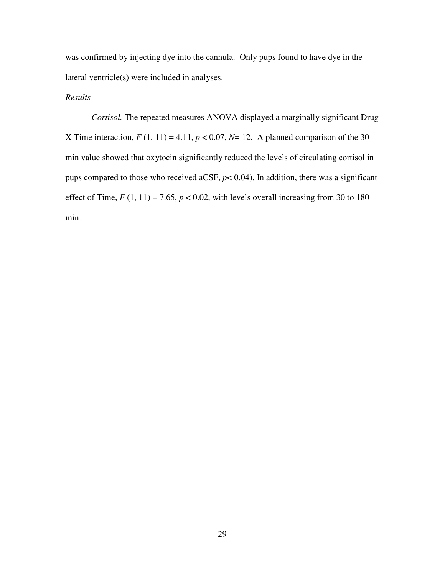was confirmed by injecting dye into the cannula. Only pups found to have dye in the lateral ventricle(s) were included in analyses.

# *Results*

*Cortisol.* The repeated measures ANOVA displayed a marginally significant Drug X Time interaction,  $F(1, 11) = 4.11$ ,  $p < 0.07$ ,  $N = 12$ . A planned comparison of the 30 min value showed that oxytocin significantly reduced the levels of circulating cortisol in pups compared to those who received aCSF,  $p$ < 0.04). In addition, there was a significant effect of Time,  $F(1, 11) = 7.65$ ,  $p < 0.02$ , with levels overall increasing from 30 to 180 min.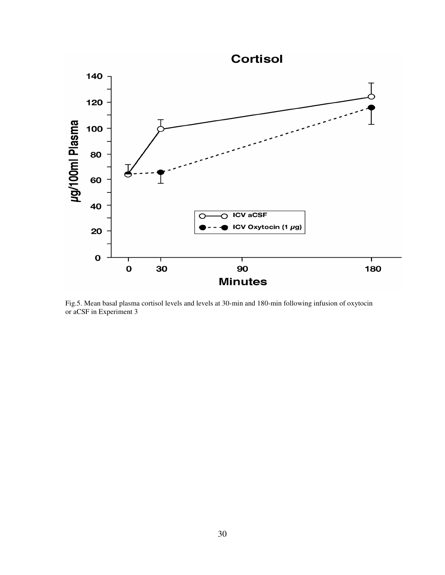

Fig.5. Mean basal plasma cortisol levels and levels at 30-min and 180-min following infusion of oxytocin or aCSF in Experiment 3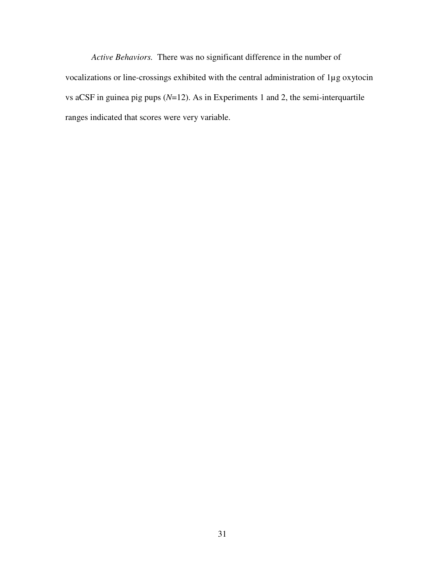*Active Behaviors.* There was no significant difference in the number of vocalizations or line-crossings exhibited with the central administration of 1µg oxytocin vs aCSF in guinea pig pups (*N*=12). As in Experiments 1 and 2, the semi-interquartile ranges indicated that scores were very variable.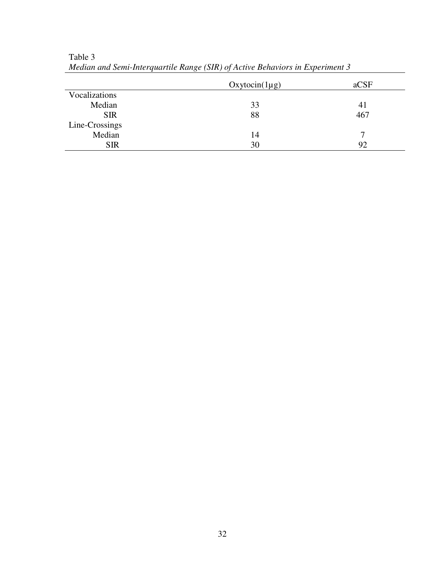|                | $Oxytocin(1\mu g)$ | aCSF |
|----------------|--------------------|------|
| Vocalizations  |                    |      |
| Median         | 33                 | 41   |
| <b>SIR</b>     | 88                 | 467  |
| Line-Crossings |                    |      |
| Median         | 14                 | ៗ    |
| <b>SIR</b>     | 30                 | 92   |
|                |                    |      |

Table 3 *Median and Semi-Interquartile Range (SIR) of Active Behaviors in Experiment 3*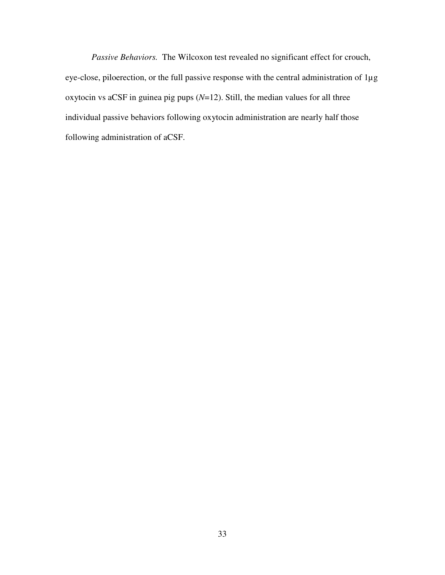*Passive Behaviors.* The Wilcoxon test revealed no significant effect for crouch, eye-close, piloerection, or the full passive response with the central administration of 1µg oxytocin vs aCSF in guinea pig pups (*N*=12). Still, the median values for all three individual passive behaviors following oxytocin administration are nearly half those following administration of aCSF.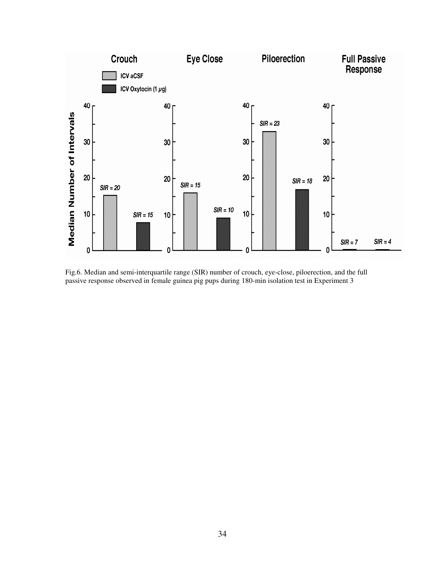

Fig.6. Median and semi-interquartile range (SIR) number of crouch, eye-close, piloerection, and the full passive response observed in female guinea pig pups during 180-min isolation test in Experiment 3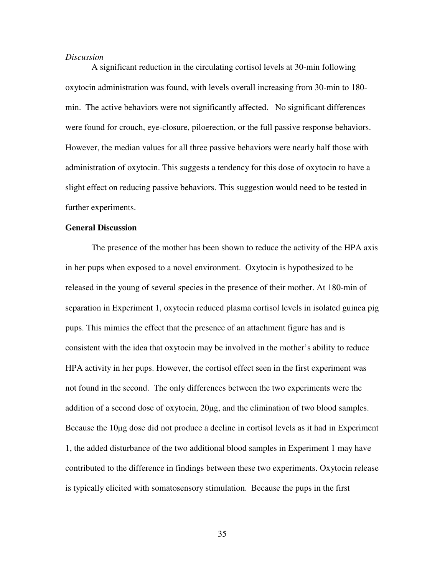#### *Discussion*

A significant reduction in the circulating cortisol levels at 30-min following oxytocin administration was found, with levels overall increasing from 30-min to 180 min. The active behaviors were not significantly affected. No significant differences were found for crouch, eye-closure, piloerection, or the full passive response behaviors. However, the median values for all three passive behaviors were nearly half those with administration of oxytocin. This suggests a tendency for this dose of oxytocin to have a slight effect on reducing passive behaviors. This suggestion would need to be tested in further experiments.

#### **General Discussion**

The presence of the mother has been shown to reduce the activity of the HPA axis in her pups when exposed to a novel environment. Oxytocin is hypothesized to be released in the young of several species in the presence of their mother. At 180-min of separation in Experiment 1, oxytocin reduced plasma cortisol levels in isolated guinea pig pups. This mimics the effect that the presence of an attachment figure has and is consistent with the idea that oxytocin may be involved in the mother's ability to reduce HPA activity in her pups. However, the cortisol effect seen in the first experiment was not found in the second. The only differences between the two experiments were the addition of a second dose of oxytocin, 20µg, and the elimination of two blood samples. Because the 10µg dose did not produce a decline in cortisol levels as it had in Experiment 1, the added disturbance of the two additional blood samples in Experiment 1 may have contributed to the difference in findings between these two experiments. Oxytocin release is typically elicited with somatosensory stimulation. Because the pups in the first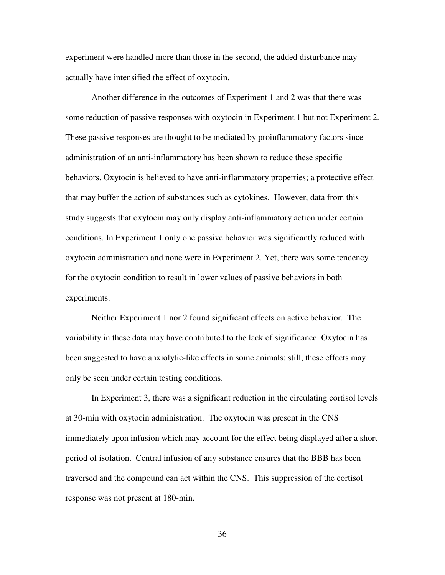experiment were handled more than those in the second, the added disturbance may actually have intensified the effect of oxytocin.

Another difference in the outcomes of Experiment 1 and 2 was that there was some reduction of passive responses with oxytocin in Experiment 1 but not Experiment 2. These passive responses are thought to be mediated by proinflammatory factors since administration of an anti-inflammatory has been shown to reduce these specific behaviors. Oxytocin is believed to have anti-inflammatory properties; a protective effect that may buffer the action of substances such as cytokines. However, data from this study suggests that oxytocin may only display anti-inflammatory action under certain conditions. In Experiment 1 only one passive behavior was significantly reduced with oxytocin administration and none were in Experiment 2. Yet, there was some tendency for the oxytocin condition to result in lower values of passive behaviors in both experiments.

Neither Experiment 1 nor 2 found significant effects on active behavior. The variability in these data may have contributed to the lack of significance. Oxytocin has been suggested to have anxiolytic-like effects in some animals; still, these effects may only be seen under certain testing conditions.

In Experiment 3, there was a significant reduction in the circulating cortisol levels at 30-min with oxytocin administration. The oxytocin was present in the CNS immediately upon infusion which may account for the effect being displayed after a short period of isolation. Central infusion of any substance ensures that the BBB has been traversed and the compound can act within the CNS. This suppression of the cortisol response was not present at 180-min.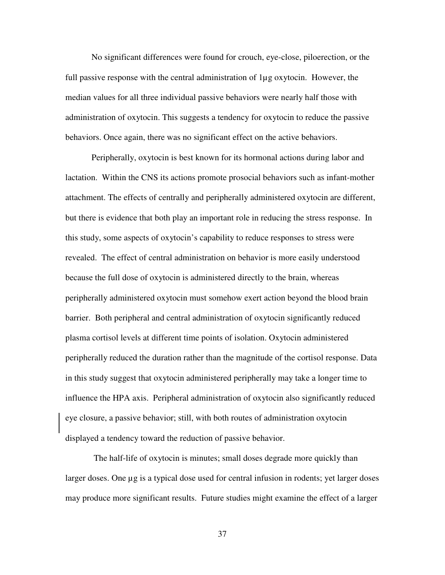No significant differences were found for crouch, eye-close, piloerection, or the full passive response with the central administration of 1µg oxytocin. However, the median values for all three individual passive behaviors were nearly half those with administration of oxytocin. This suggests a tendency for oxytocin to reduce the passive behaviors. Once again, there was no significant effect on the active behaviors.

Peripherally, oxytocin is best known for its hormonal actions during labor and lactation. Within the CNS its actions promote prosocial behaviors such as infant-mother attachment. The effects of centrally and peripherally administered oxytocin are different, but there is evidence that both play an important role in reducing the stress response. In this study, some aspects of oxytocin's capability to reduce responses to stress were revealed. The effect of central administration on behavior is more easily understood because the full dose of oxytocin is administered directly to the brain, whereas peripherally administered oxytocin must somehow exert action beyond the blood brain barrier. Both peripheral and central administration of oxytocin significantly reduced plasma cortisol levels at different time points of isolation. Oxytocin administered peripherally reduced the duration rather than the magnitude of the cortisol response. Data in this study suggest that oxytocin administered peripherally may take a longer time to influence the HPA axis. Peripheral administration of oxytocin also significantly reduced eye closure, a passive behavior; still, with both routes of administration oxytocin displayed a tendency toward the reduction of passive behavior.

 The half-life of oxytocin is minutes; small doses degrade more quickly than larger doses. One  $\mu$ g is a typical dose used for central infusion in rodents; yet larger doses may produce more significant results. Future studies might examine the effect of a larger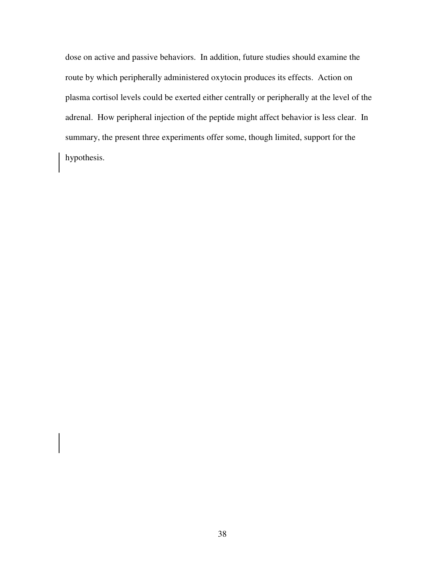dose on active and passive behaviors. In addition, future studies should examine the route by which peripherally administered oxytocin produces its effects. Action on plasma cortisol levels could be exerted either centrally or peripherally at the level of the adrenal. How peripheral injection of the peptide might affect behavior is less clear. In summary, the present three experiments offer some, though limited, support for the hypothesis.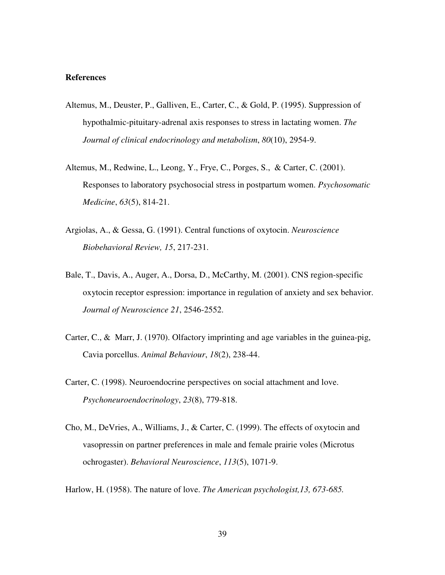# **References**

- Altemus, M., Deuster, P., Galliven, E., Carter, C., & Gold, P. (1995). Suppression of hypothalmic-pituitary-adrenal axis responses to stress in lactating women. *The Journal of clinical endocrinology and metabolism*, *80*(10), 2954-9.
- Altemus, M., Redwine, L., Leong, Y., Frye, C., Porges, S., & Carter, C. (2001). Responses to laboratory psychosocial stress in postpartum women. *Psychosomatic Medicine*, *63*(5), 814-21.
- Argiolas, A., & Gessa, G. (1991). Central functions of oxytocin. *Neuroscience Biobehavioral Review, 15*, 217-231.
- Bale, T., Davis, A., Auger, A., Dorsa, D., McCarthy, M. (2001). CNS region-specific oxytocin receptor espression: importance in regulation of anxiety and sex behavior. *Journal of Neuroscience 21*, 2546-2552.
- Carter, C., & Marr, J. (1970). Olfactory imprinting and age variables in the guinea-pig, Cavia porcellus. *Animal Behaviour*, *18*(2), 238-44.
- Carter, C. (1998). Neuroendocrine perspectives on social attachment and love. *Psychoneuroendocrinology*, *23*(8), 779-818.
- Cho, M., DeVries, A., Williams, J., & Carter, C. (1999). The effects of oxytocin and vasopressin on partner preferences in male and female prairie voles (Microtus ochrogaster). *Behavioral Neuroscience*, *113*(5), 1071-9.
- Harlow, H. (1958). The nature of love. *The American psychologist,13, 673-685.*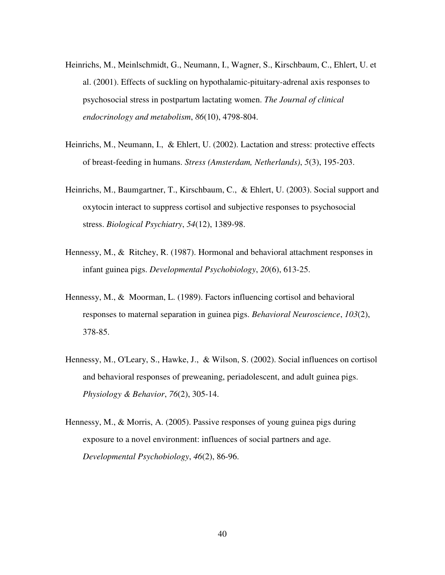- Heinrichs, M., Meinlschmidt, G., Neumann, I., Wagner, S., Kirschbaum, C., Ehlert, U. et al. (2001). Effects of suckling on hypothalamic-pituitary-adrenal axis responses to psychosocial stress in postpartum lactating women. *The Journal of clinical endocrinology and metabolism*, *86*(10), 4798-804.
- Heinrichs, M., Neumann, I., & Ehlert, U. (2002). Lactation and stress: protective effects of breast-feeding in humans. *Stress (Amsterdam, Netherlands)*, *5*(3), 195-203.
- Heinrichs, M., Baumgartner, T., Kirschbaum, C., & Ehlert, U. (2003). Social support and oxytocin interact to suppress cortisol and subjective responses to psychosocial stress. *Biological Psychiatry*, *54*(12), 1389-98.
- Hennessy, M., & Ritchey, R. (1987). Hormonal and behavioral attachment responses in infant guinea pigs. *Developmental Psychobiology*, *20*(6), 613-25.
- Hennessy, M., & Moorman, L. (1989). Factors influencing cortisol and behavioral responses to maternal separation in guinea pigs. *Behavioral Neuroscience*, *103*(2), 378-85.
- Hennessy, M., O'Leary, S., Hawke, J., & Wilson, S. (2002). Social influences on cortisol and behavioral responses of preweaning, periadolescent, and adult guinea pigs. *Physiology & Behavior*, *76*(2), 305-14.
- Hennessy, M., & Morris, A. (2005). Passive responses of young guinea pigs during exposure to a novel environment: influences of social partners and age. *Developmental Psychobiology*, *46*(2), 86-96.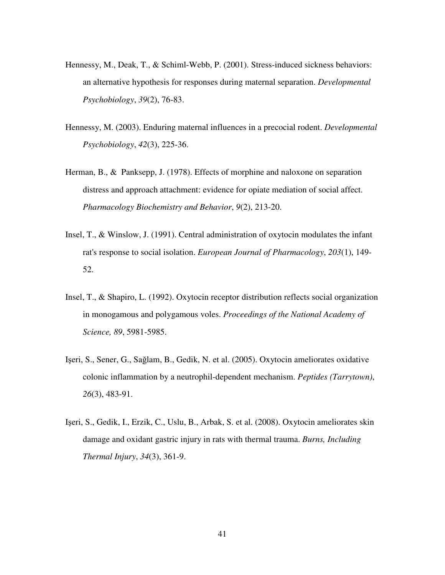- Hennessy, M., Deak, T., & Schiml-Webb, P. (2001). Stress-induced sickness behaviors: an alternative hypothesis for responses during maternal separation. *Developmental Psychobiology*, *39*(2), 76-83.
- Hennessy, M. (2003). Enduring maternal influences in a precocial rodent. *Developmental Psychobiology*, *42*(3), 225-36.
- Herman, B., & Panksepp, J. (1978). Effects of morphine and naloxone on separation distress and approach attachment: evidence for opiate mediation of social affect. *Pharmacology Biochemistry and Behavior*, *9*(2), 213-20.
- Insel, T., & Winslow, J. (1991). Central administration of oxytocin modulates the infant rat's response to social isolation. *European Journal of Pharmacology*, *203*(1), 149- 52.
- Insel, T., & Shapiro, L. (1992). Oxytocin receptor distribution reflects social organization in monogamous and polygamous voles. *Proceedings of the National Academy of Science, 89*, 5981-5985.
- Işeri, S., Sener, G., Sağlam, B., Gedik, N. et al. (2005). Oxytocin ameliorates oxidative colonic inflammation by a neutrophil-dependent mechanism. *Peptides (Tarrytown)*, *26*(3), 483-91.
- Işeri, S., Gedik, I., Erzik, C., Uslu, B., Arbak, S. et al. (2008). Oxytocin ameliorates skin damage and oxidant gastric injury in rats with thermal trauma. *Burns, Including Thermal Injury*, *34*(3), 361-9.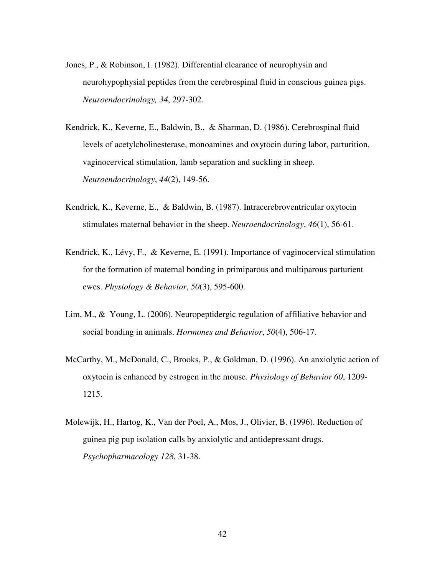- Jones, P., & Robinson, I. (1982). Differential clearance of neurophysin and neurohypophysial peptides from the cerebrospinal fluid in conscious guinea pigs. *Neuroendocrinology, 34*, 297-302.
- Kendrick, K., Keverne, E., Baldwin, B., & Sharman, D. (1986). Cerebrospinal fluid levels of acetylcholinesterase, monoamines and oxytocin during labor, parturition, vaginocervical stimulation, lamb separation and suckling in sheep. *Neuroendocrinology*, *44*(2), 149-56.
- Kendrick, K., Keverne, E., & Baldwin, B. (1987). Intracerebroventricular oxytocin stimulates maternal behavior in the sheep. *Neuroendocrinology*, *46*(1), 56-61.
- Kendrick, K., Lévy, F., & Keverne, E. (1991). Importance of vaginocervical stimulation for the formation of maternal bonding in primiparous and multiparous parturient ewes. *Physiology & Behavior*, *50*(3), 595-600.
- Lim, M., & Young, L. (2006). Neuropeptidergic regulation of affiliative behavior and social bonding in animals. *Hormones and Behavior*, *50*(4), 506-17.
- McCarthy, M., McDonald, C., Brooks, P., & Goldman, D. (1996). An anxiolytic action of oxytocin is enhanced by estrogen in the mouse. *Physiology of Behavior 60*, 1209- 1215.
- Molewijk, H., Hartog, K., Van der Poel, A., Mos, J., Olivier, B. (1996). Reduction of guinea pig pup isolation calls by anxiolytic and antidepressant drugs. *Psychopharmacology 128*, 31-38.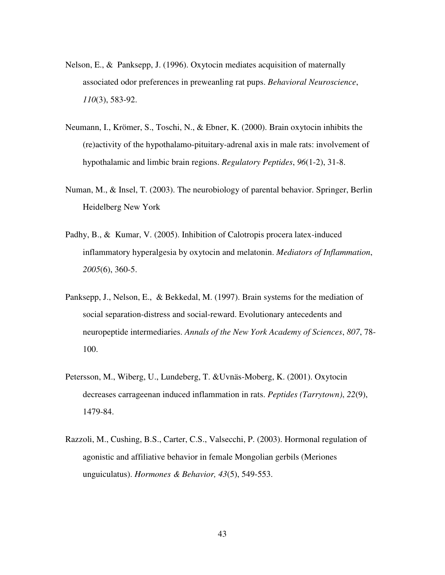- Nelson, E., & Panksepp, J. (1996). Oxytocin mediates acquisition of maternally associated odor preferences in preweanling rat pups. *Behavioral Neuroscience*, *110*(3), 583-92.
- Neumann, I., Krömer, S., Toschi, N., & Ebner, K. (2000). Brain oxytocin inhibits the (re)activity of the hypothalamo-pituitary-adrenal axis in male rats: involvement of hypothalamic and limbic brain regions. *Regulatory Peptides*, *96*(1-2), 31-8.
- Numan, M., & Insel, T. (2003). The neurobiology of parental behavior. Springer, Berlin Heidelberg New York
- Padhy, B., & Kumar, V. (2005). Inhibition of Calotropis procera latex-induced inflammatory hyperalgesia by oxytocin and melatonin. *Mediators of Inflammation*, *2005*(6), 360-5.
- Panksepp, J., Nelson, E., & Bekkedal, M. (1997). Brain systems for the mediation of social separation-distress and social-reward. Evolutionary antecedents and neuropeptide intermediaries. *Annals of the New York Academy of Sciences*, *807*, 78- 100.
- Petersson, M., Wiberg, U., Lundeberg, T. &Uvnäs-Moberg, K. (2001). Oxytocin decreases carrageenan induced inflammation in rats. *Peptides (Tarrytown)*, *22*(9), 1479-84.
- Razzoli, M., Cushing, B.S., Carter, C.S., Valsecchi, P. (2003). Hormonal regulation of agonistic and affiliative behavior in female Mongolian gerbils (Meriones unguiculatus). *Hormones & Behavior, 43*(5), 549-553.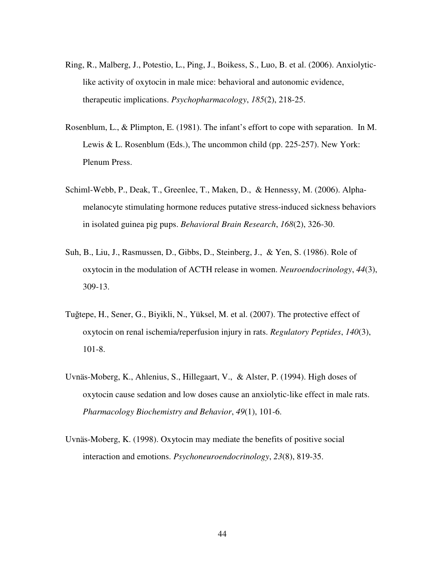- Ring, R., Malberg, J., Potestio, L., Ping, J., Boikess, S., Luo, B. et al. (2006). Anxiolyticlike activity of oxytocin in male mice: behavioral and autonomic evidence, therapeutic implications. *Psychopharmacology*, *185*(2), 218-25.
- Rosenblum, L., & Plimpton, E. (1981). The infant's effort to cope with separation. In M. Lewis & L. Rosenblum (Eds.), The uncommon child (pp. 225-257). New York: Plenum Press.
- Schiml-Webb, P., Deak, T., Greenlee, T., Maken, D., & Hennessy, M. (2006). Alphamelanocyte stimulating hormone reduces putative stress-induced sickness behaviors in isolated guinea pig pups. *Behavioral Brain Research*, *168*(2), 326-30.
- Suh, B., Liu, J., Rasmussen, D., Gibbs, D., Steinberg, J., & Yen, S. (1986). Role of oxytocin in the modulation of ACTH release in women. *Neuroendocrinology*, *44*(3), 309-13.
- Tuğtepe, H., Sener, G., Biyikli, N., Yüksel, M. et al. (2007). The protective effect of oxytocin on renal ischemia/reperfusion injury in rats. *Regulatory Peptides*, *140*(3), 101-8.
- Uvnäs-Moberg, K., Ahlenius, S., Hillegaart, V., & Alster, P. (1994). High doses of oxytocin cause sedation and low doses cause an anxiolytic-like effect in male rats. *Pharmacology Biochemistry and Behavior*, *49*(1), 101-6.
- Uvnäs-Moberg, K. (1998). Oxytocin may mediate the benefits of positive social interaction and emotions. *Psychoneuroendocrinology*, *23*(8), 819-35.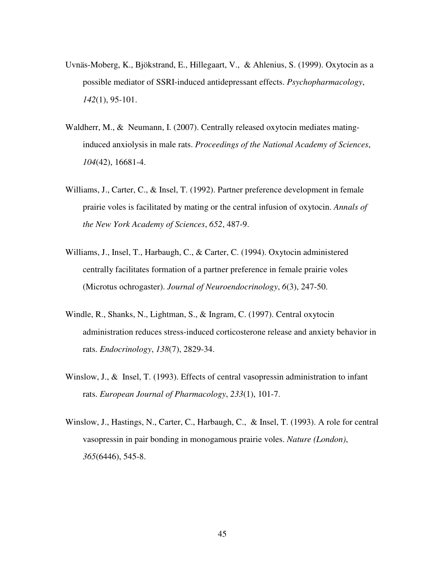- Uvnäs-Moberg, K., Bjökstrand, E., Hillegaart, V., & Ahlenius, S. (1999). Oxytocin as a possible mediator of SSRI-induced antidepressant effects. *Psychopharmacology*, *142*(1), 95-101.
- Waldherr, M., & Neumann, I. (2007). Centrally released oxytocin mediates matinginduced anxiolysis in male rats. *Proceedings of the National Academy of Sciences*, *104*(42), 16681-4.
- Williams, J., Carter, C., & Insel, T. (1992). Partner preference development in female prairie voles is facilitated by mating or the central infusion of oxytocin. *Annals of the New York Academy of Sciences*, *652*, 487-9.
- Williams, J., Insel, T., Harbaugh, C., & Carter, C. (1994). Oxytocin administered centrally facilitates formation of a partner preference in female prairie voles (Microtus ochrogaster). *Journal of Neuroendocrinology*, *6*(3), 247-50.
- Windle, R., Shanks, N., Lightman, S., & Ingram, C. (1997). Central oxytocin administration reduces stress-induced corticosterone release and anxiety behavior in rats. *Endocrinology*, *138*(7), 2829-34.
- Winslow, J., & Insel, T. (1993). Effects of central vasopressin administration to infant rats. *European Journal of Pharmacology*, *233*(1), 101-7.
- Winslow, J., Hastings, N., Carter, C., Harbaugh, C., & Insel, T. (1993). A role for central vasopressin in pair bonding in monogamous prairie voles. *Nature (London)*, *365*(6446), 545-8.